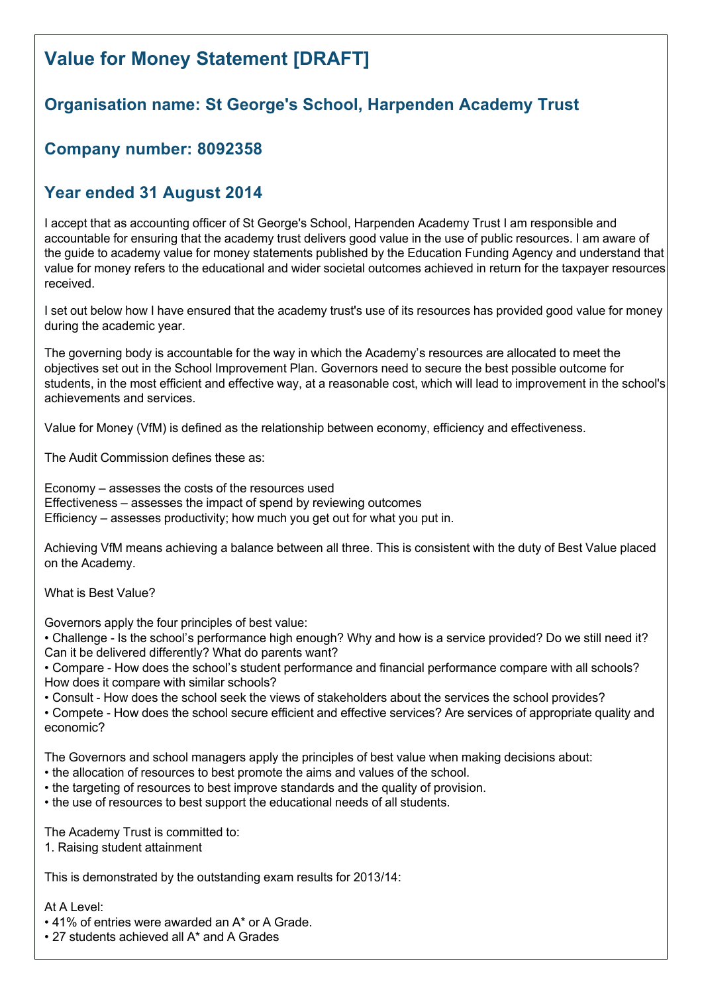# **Value for Money Statement [DRAFT]**

# **Organisation name: St George's School, Harpenden Academy Trust**

# **Company number: 8092358**

# **Year ended 31 August 2014**

I accept that as accounting officer of St George's School, Harpenden Academy Trust I am responsible and accountable for ensuring that the academy trust delivers good value in the use of public resources. I am aware of the guide to academy value for money statements published by the Education Funding Agency and understand that value for money refers to the educational and wider societal outcomes achieved in return for the taxpayer resources received.

I set out below how I have ensured that the academy trust's use of its resources has provided good value for money during the academic year.

The governing body is accountable for the way in which the Academy's resources are allocated to meet the objectives set out in the School Improvement Plan. Governors need to secure the best possible outcome for students, in the most efficient and effective way, at a reasonable cost, which will lead to improvement in the school's achievements and services.

Value for Money (VfM) is defined as the relationship between economy, efficiency and effectiveness.

The Audit Commission defines these as:

Economy – assesses the costs of the resources used Effectiveness – assesses the impact of spend by reviewing outcomes Efficiency – assesses productivity; how much you get out for what you put in.

Achieving VfM means achieving a balance between all three. This is consistent with the duty of Best Value placed on the Academy.

What is Best Value?

Governors apply the four principles of best value:

• Challenge - Is the school's performance high enough? Why and how is a service provided? Do we still need it? Can it be delivered differently? What do parents want?

• Compare How does the school's student performance and financial performance compare with all schools? How does it compare with similar schools?

• Consult - How does the school seek the views of stakeholders about the services the school provides?

• Compete How does the school secure efficient and effective services? Are services of appropriate quality and economic?

The Governors and school managers apply the principles of best value when making decisions about:

- the allocation of resources to best promote the aims and values of the school.
- the targeting of resources to best improve standards and the quality of provision.
- the use of resources to best support the educational needs of all students.

The Academy Trust is committed to:

1. Raising student attainment

This is demonstrated by the outstanding exam results for 2013/14:

#### At A Level:

• 41% of entries were awarded an A\* or A Grade.

• 27 students achieved all A\* and A Grades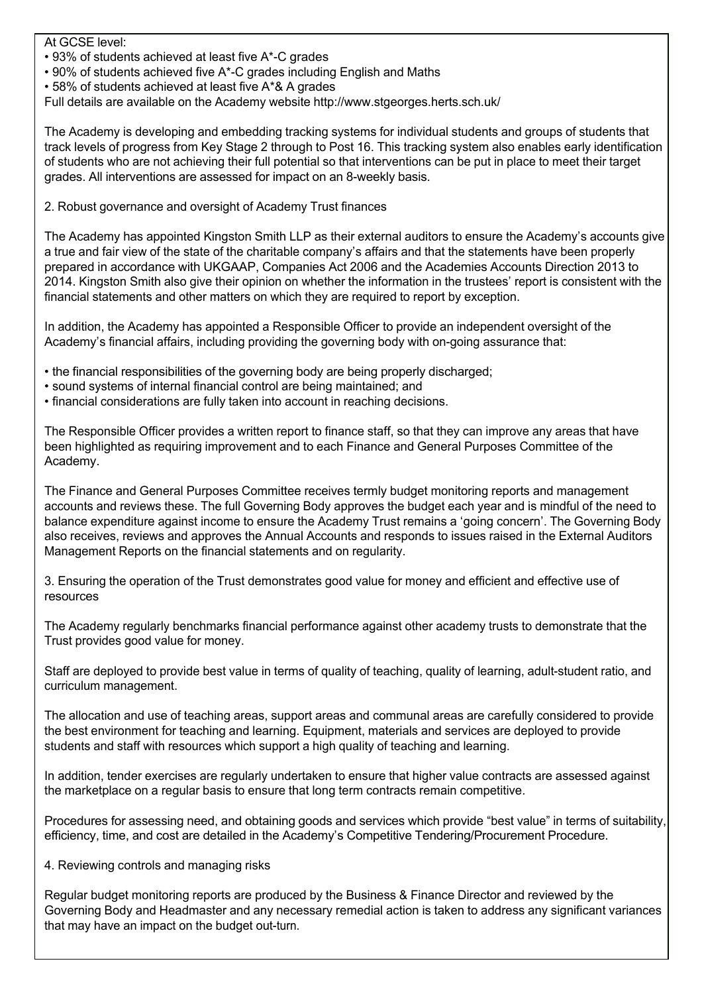#### At GCSE level:

- 93% of students achieved at least five A\*C grades
- 90% of students achieved five A\*C grades including English and Maths
- 58% of students achieved at least five A\*& A grades

Full details are available on the Academy website http://www.stgeorges.herts.sch.uk/

The Academy is developing and embedding tracking systems for individual students and groups of students that track levels of progress from Key Stage 2 through to Post 16. This tracking system also enables early identification of students who are not achieving their full potential so that interventions can be put in place to meet their target grades. All interventions are assessed for impact on an 8-weekly basis.

2. Robust governance and oversight of Academy Trust finances

The Academy has appointed Kingston Smith LLP as their external auditors to ensure the Academy's accounts give a true and fair view of the state of the charitable company's affairs and that the statements have been properly prepared in accordance with UKGAAP, Companies Act 2006 and the Academies Accounts Direction 2013 to 2014. Kingston Smith also give their opinion on whether the information in the trustees' report is consistent with the financial statements and other matters on which they are required to report by exception.

In addition, the Academy has appointed a Responsible Officer to provide an independent oversight of the Academy's financial affairs, including providing the governing body with on-going assurance that:

- the financial responsibilities of the governing body are being properly discharged;
- sound systems of internal financial control are being maintained; and
- financial considerations are fully taken into account in reaching decisions.

The Responsible Officer provides a written report to finance staff, so that they can improve any areas that have been highlighted as requiring improvement and to each Finance and General Purposes Committee of the Academy.

The Finance and General Purposes Committee receives termly budget monitoring reports and management accounts and reviews these. The full Governing Body approves the budget each year and is mindful of the need to balance expenditure against income to ensure the Academy Trust remains a 'going concern'. The Governing Body also receives, reviews and approves the Annual Accounts and responds to issues raised in the External Auditors Management Reports on the financial statements and on regularity.

3. Ensuring the operation of the Trust demonstrates good value for money and efficient and effective use of resources

The Academy regularly benchmarks financial performance against other academy trusts to demonstrate that the Trust provides good value for money.

Staff are deployed to provide best value in terms of quality of teaching, quality of learning, adult-student ratio, and curriculum management.

The allocation and use of teaching areas, support areas and communal areas are carefully considered to provide the best environment for teaching and learning. Equipment, materials and services are deployed to provide students and staff with resources which support a high quality of teaching and learning.

In addition, tender exercises are regularly undertaken to ensure that higher value contracts are assessed against the marketplace on a regular basis to ensure that long term contracts remain competitive.

Procedures for assessing need, and obtaining goods and services which provide "best value" in terms of suitability, efficiency, time, and cost are detailed in the Academy's Competitive Tendering/Procurement Procedure.

### 4. Reviewing controls and managing risks

Regular budget monitoring reports are produced by the Business & Finance Director and reviewed by the Governing Body and Headmaster and any necessary remedial action is taken to address any significant variances that may have an impact on the budget out-turn.